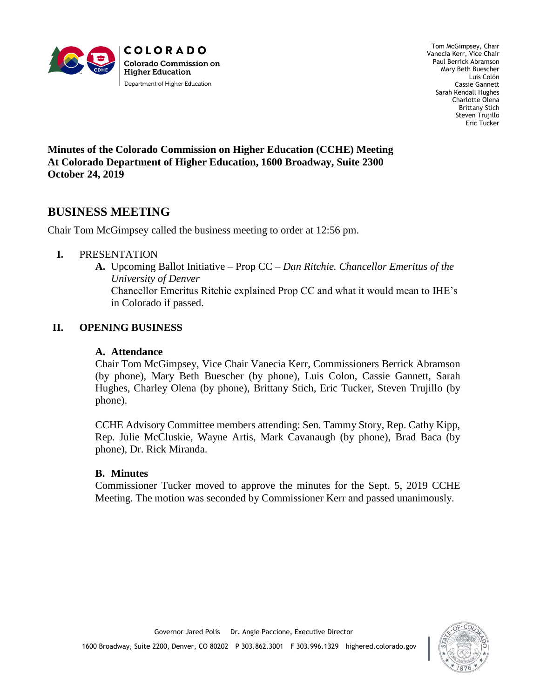

Tom McGimpsey, Chair Vanecia Kerr, Vice Chair Paul Berrick Abramson Mary Beth Buescher Luis Colón Cassie Gannett Sarah Kendall Hughes Charlotte Olena Brittany Stich Steven Trujillo Eric Tucker

**Minutes of the Colorado Commission on Higher Education (CCHE) Meeting At Colorado Department of Higher Education, 1600 Broadway, Suite 2300 October 24, 2019**

# **BUSINESS MEETING**

Chair Tom McGimpsey called the business meeting to order at 12:56 pm.

#### **I.** PRESENTATION

**A.** Upcoming Ballot Initiative – Prop CC – *Dan Ritchie. Chancellor Emeritus of the University of Denver* Chancellor Emeritus Ritchie explained Prop CC and what it would mean to IHE's in Colorado if passed.

### **II. OPENING BUSINESS**

#### **A. Attendance**

Chair Tom McGimpsey, Vice Chair Vanecia Kerr, Commissioners Berrick Abramson (by phone), Mary Beth Buescher (by phone), Luis Colon, Cassie Gannett, Sarah Hughes, Charley Olena (by phone), Brittany Stich, Eric Tucker, Steven Trujillo (by phone).

CCHE Advisory Committee members attending: Sen. Tammy Story, Rep. Cathy Kipp, Rep. Julie McCluskie, Wayne Artis, Mark Cavanaugh (by phone), Brad Baca (by phone), Dr. Rick Miranda.

#### **B. Minutes**

Commissioner Tucker moved to approve the minutes for the Sept. 5, 2019 CCHE Meeting. The motion was seconded by Commissioner Kerr and passed unanimously.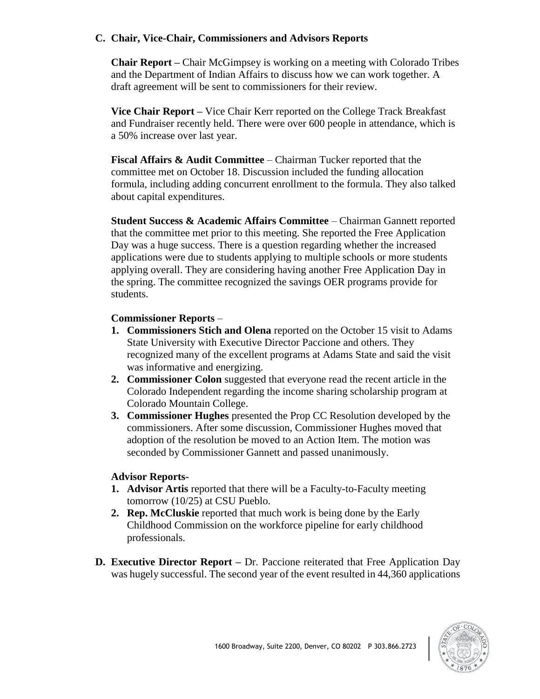### **C. Chair, Vice-Chair, Commissioners and Advisors Reports**

**Chair Report –** Chair McGimpsey is working on a meeting with Colorado Tribes and the Department of Indian Affairs to discuss how we can work together. A draft agreement will be sent to commissioners for their review.

**Vice Chair Report –** Vice Chair Kerr reported on the College Track Breakfast and Fundraiser recently held. There were over 600 people in attendance, which is a 50% increase over last year.

**Fiscal Affairs & Audit Committee** – Chairman Tucker reported that the committee met on October 18. Discussion included the funding allocation formula, including adding concurrent enrollment to the formula. They also talked about capital expenditures.

**Student Success & Academic Affairs Committee** – Chairman Gannett reported that the committee met prior to this meeting. She reported the Free Application Day was a huge success. There is a question regarding whether the increased applications were due to students applying to multiple schools or more students applying overall. They are considering having another Free Application Day in the spring. The committee recognized the savings OER programs provide for students.

#### **Commissioner Reports** –

- **1. Commissioners Stich and Olena** reported on the October 15 visit to Adams State University with Executive Director Paccione and others. They recognized many of the excellent programs at Adams State and said the visit was informative and energizing.
- **2. Commissioner Colon** suggested that everyone read the recent article in the Colorado Independent regarding the income sharing scholarship program at Colorado Mountain College.
- **3. Commissioner Hughes** presented the Prop CC Resolution developed by the commissioners. After some discussion, Commissioner Hughes moved that adoption of the resolution be moved to an Action Item. The motion was seconded by Commissioner Gannett and passed unanimously.

#### **Advisor Reports-**

- **1. Advisor Artis** reported that there will be a Faculty-to-Faculty meeting tomorrow (10/25) at CSU Pueblo.
- **2. Rep. McCluskie** reported that much work is being done by the Early Childhood Commission on the workforce pipeline for early childhood professionals.
- **D. Executive Director Report –** Dr. Paccione reiterated that Free Application Day was hugely successful. The second year of the event resulted in 44,360 applications

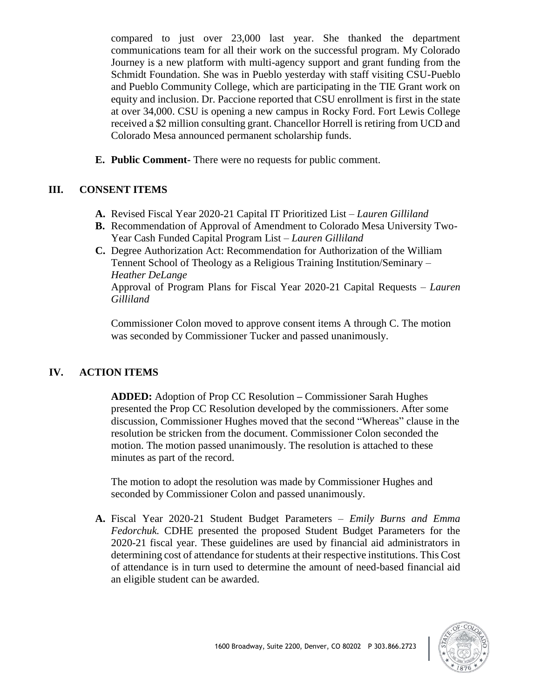compared to just over 23,000 last year. She thanked the department communications team for all their work on the successful program. My Colorado Journey is a new platform with multi-agency support and grant funding from the Schmidt Foundation. She was in Pueblo yesterday with staff visiting CSU-Pueblo and Pueblo Community College, which are participating in the TIE Grant work on equity and inclusion. Dr. Paccione reported that CSU enrollment is first in the state at over 34,000. CSU is opening a new campus in Rocky Ford. Fort Lewis College received a \$2 million consulting grant. Chancellor Horrell is retiring from UCD and Colorado Mesa announced permanent scholarship funds.

**E. Public Comment-** There were no requests for public comment.

# **III. CONSENT ITEMS**

- **A.** Revised Fiscal Year 2020-21 Capital IT Prioritized List *Lauren Gilliland*
- **B.** Recommendation of Approval of Amendment to Colorado Mesa University Two-Year Cash Funded Capital Program List – *Lauren Gilliland*
- **C.** Degree Authorization Act: Recommendation for Authorization of the William Tennent School of Theology as a Religious Training Institution/Seminary – *Heather DeLange* Approval of Program Plans for Fiscal Year 2020-21 Capital Requests – *Lauren Gilliland*

Commissioner Colon moved to approve consent items A through C. The motion was seconded by Commissioner Tucker and passed unanimously.

# **IV. ACTION ITEMS**

**ADDED:** Adoption of Prop CC Resolution **–** Commissioner Sarah Hughes presented the Prop CC Resolution developed by the commissioners. After some discussion, Commissioner Hughes moved that the second "Whereas" clause in the resolution be stricken from the document. Commissioner Colon seconded the motion. The motion passed unanimously. The resolution is attached to these minutes as part of the record.

The motion to adopt the resolution was made by Commissioner Hughes and seconded by Commissioner Colon and passed unanimously.

**A.** Fiscal Year 2020-21 Student Budget Parameters – *Emily Burns and Emma Fedorchuk.* CDHE presented the proposed Student Budget Parameters for the 2020-21 fiscal year. These guidelines are used by financial aid administrators in determining cost of attendance for students at their respective institutions. This Cost of attendance is in turn used to determine the amount of need-based financial aid an eligible student can be awarded.

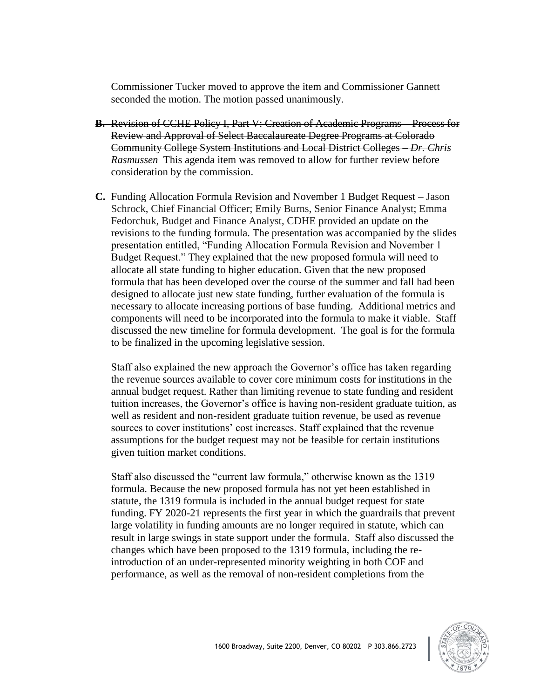Commissioner Tucker moved to approve the item and Commissioner Gannett seconded the motion. The motion passed unanimously.

- **B.** Revision of CCHE Policy I, Part V: Creation of Academic Programs Process for Review and Approval of Select Baccalaureate Degree Programs at Colorado Community College System Institutions and Local District Colleges – *Dr. Chris Rasmussen* This agenda item was removed to allow for further review before consideration by the commission.
- **C.** Funding Allocation Formula Revision and November 1 Budget Request Jason Schrock, Chief Financial Officer; Emily Burns, Senior Finance Analyst; Emma Fedorchuk, Budget and Finance Analyst, CDHE provided an update on the revisions to the funding formula. The presentation was accompanied by the slides presentation entitled, "Funding Allocation Formula Revision and November 1 Budget Request." They explained that the new proposed formula will need to allocate all state funding to higher education. Given that the new proposed formula that has been developed over the course of the summer and fall had been designed to allocate just new state funding, further evaluation of the formula is necessary to allocate increasing portions of base funding. Additional metrics and components will need to be incorporated into the formula to make it viable. Staff discussed the new timeline for formula development. The goal is for the formula to be finalized in the upcoming legislative session.

Staff also explained the new approach the Governor's office has taken regarding the revenue sources available to cover core minimum costs for institutions in the annual budget request. Rather than limiting revenue to state funding and resident tuition increases, the Governor's office is having non-resident graduate tuition, as well as resident and non-resident graduate tuition revenue, be used as revenue sources to cover institutions' cost increases. Staff explained that the revenue assumptions for the budget request may not be feasible for certain institutions given tuition market conditions.

Staff also discussed the "current law formula," otherwise known as the 1319 formula. Because the new proposed formula has not yet been established in statute, the 1319 formula is included in the annual budget request for state funding. FY 2020-21 represents the first year in which the guardrails that prevent large volatility in funding amounts are no longer required in statute, which can result in large swings in state support under the formula. Staff also discussed the changes which have been proposed to the 1319 formula, including the reintroduction of an under-represented minority weighting in both COF and performance, as well as the removal of non-resident completions from the

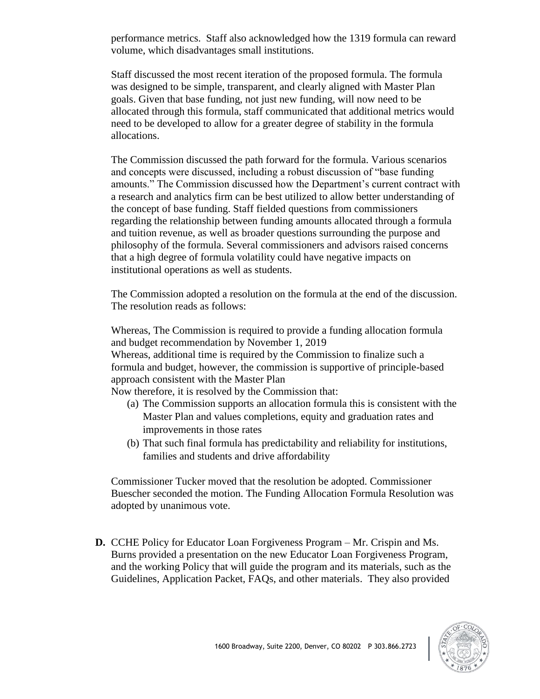performance metrics. Staff also acknowledged how the 1319 formula can reward volume, which disadvantages small institutions.

Staff discussed the most recent iteration of the proposed formula. The formula was designed to be simple, transparent, and clearly aligned with Master Plan goals. Given that base funding, not just new funding, will now need to be allocated through this formula, staff communicated that additional metrics would need to be developed to allow for a greater degree of stability in the formula allocations.

The Commission discussed the path forward for the formula. Various scenarios and concepts were discussed, including a robust discussion of "base funding amounts." The Commission discussed how the Department's current contract with a research and analytics firm can be best utilized to allow better understanding of the concept of base funding. Staff fielded questions from commissioners regarding the relationship between funding amounts allocated through a formula and tuition revenue, as well as broader questions surrounding the purpose and philosophy of the formula. Several commissioners and advisors raised concerns that a high degree of formula volatility could have negative impacts on institutional operations as well as students.

The Commission adopted a resolution on the formula at the end of the discussion. The resolution reads as follows:

Whereas, The Commission is required to provide a funding allocation formula and budget recommendation by November 1, 2019 Whereas, additional time is required by the Commission to finalize such a formula and budget, however, the commission is supportive of principle-based approach consistent with the Master Plan

Now therefore, it is resolved by the Commission that:

- (a) The Commission supports an allocation formula this is consistent with the Master Plan and values completions, equity and graduation rates and improvements in those rates
- (b) That such final formula has predictability and reliability for institutions, families and students and drive affordability

Commissioner Tucker moved that the resolution be adopted. Commissioner Buescher seconded the motion. The Funding Allocation Formula Resolution was adopted by unanimous vote.

**D.** CCHE Policy for Educator Loan Forgiveness Program – Mr. Crispin and Ms. Burns provided a presentation on the new Educator Loan Forgiveness Program, and the working Policy that will guide the program and its materials, such as the Guidelines, Application Packet, FAQs, and other materials. They also provided

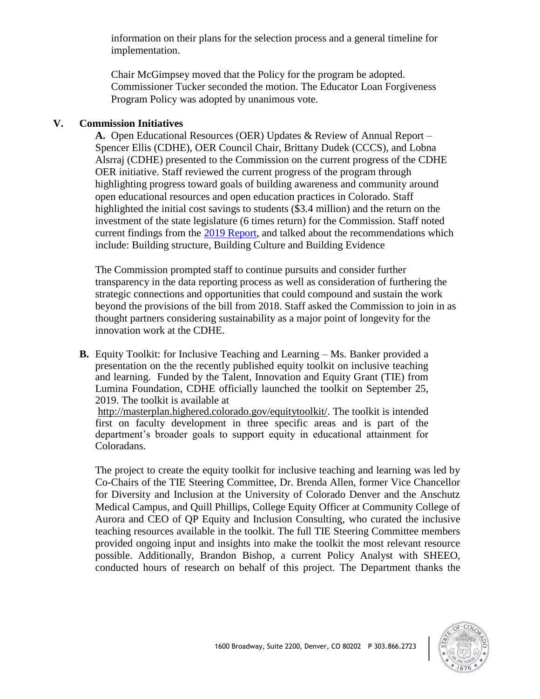information on their plans for the selection process and a general timeline for implementation.

Chair McGimpsey moved that the Policy for the program be adopted. Commissioner Tucker seconded the motion. The Educator Loan Forgiveness Program Policy was adopted by unanimous vote.

#### **V. Commission Initiatives**

Coloradans.

**A.** Open Educational Resources (OER) Updates & Review of Annual Report – Spencer Ellis (CDHE), OER Council Chair, Brittany Dudek (CCCS), and Lobna Alsrraj (CDHE) presented to the Commission on the current progress of the CDHE OER initiative. Staff reviewed the current progress of the program through highlighting progress toward goals of building awareness and community around open educational resources and open education practices in Colorado. Staff highlighted the initial cost savings to students (\$3.4 million) and the return on the investment of the state legislature (6 times return) for the Commission. Staff noted current findings from the [2019 Report,](https://highered.colorado.gov/Publications/Reports/Legislative/OER/OER_Report_2019_Final.pdf) and talked about the recommendations which include: Building structure, Building Culture and Building Evidence

The Commission prompted staff to continue pursuits and consider further transparency in the data reporting process as well as consideration of furthering the strategic connections and opportunities that could compound and sustain the work beyond the provisions of the bill from 2018. Staff asked the Commission to join in as thought partners considering sustainability as a major point of longevity for the innovation work at the CDHE.

**B.** Equity Toolkit: for Inclusive Teaching and Learning – Ms. Banker provided a presentation on the the recently published equity toolkit on inclusive teaching and learning. Funded by the Talent, Innovation and Equity Grant (TIE) from Lumina Foundation, CDHE officially launched the toolkit on September 25, 2019. The toolkit is available at [http://masterplan.highered.colorado.gov/equitytoolkit/.](http://masterplan.highered.colorado.gov/equitytoolkit/) The toolkit is intended first on faculty development in three specific areas and is part of the department's broader goals to support equity in educational attainment for

The project to create the equity toolkit for inclusive teaching and learning was led by Co-Chairs of the TIE Steering Committee, Dr. Brenda Allen, former Vice Chancellor for Diversity and Inclusion at the University of Colorado Denver and the Anschutz Medical Campus, and Quill Phillips, College Equity Officer at Community College of Aurora and CEO of QP Equity and Inclusion Consulting, who curated the inclusive teaching resources available in the toolkit. The full TIE Steering Committee members provided ongoing input and insights into make the toolkit the most relevant resource possible. Additionally, Brandon Bishop, a current Policy Analyst with SHEEO, conducted hours of research on behalf of this project. The Department thanks the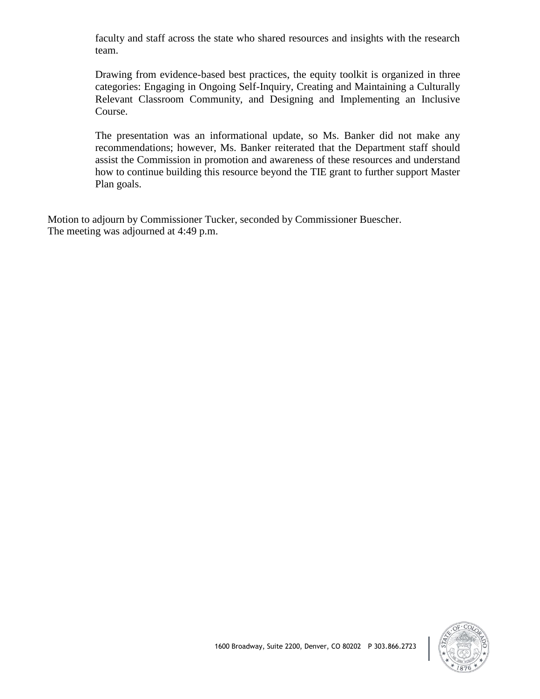faculty and staff across the state who shared resources and insights with the research team.

Drawing from evidence-based best practices, the equity toolkit is organized in three categories: Engaging in Ongoing Self-Inquiry, Creating and Maintaining a Culturally Relevant Classroom Community, and Designing and Implementing an Inclusive Course.

The presentation was an informational update, so Ms. Banker did not make any recommendations; however, Ms. Banker reiterated that the Department staff should assist the Commission in promotion and awareness of these resources and understand how to continue building this resource beyond the TIE grant to further support Master Plan goals.

Motion to adjourn by Commissioner Tucker, seconded by Commissioner Buescher. The meeting was adjourned at 4:49 p.m.

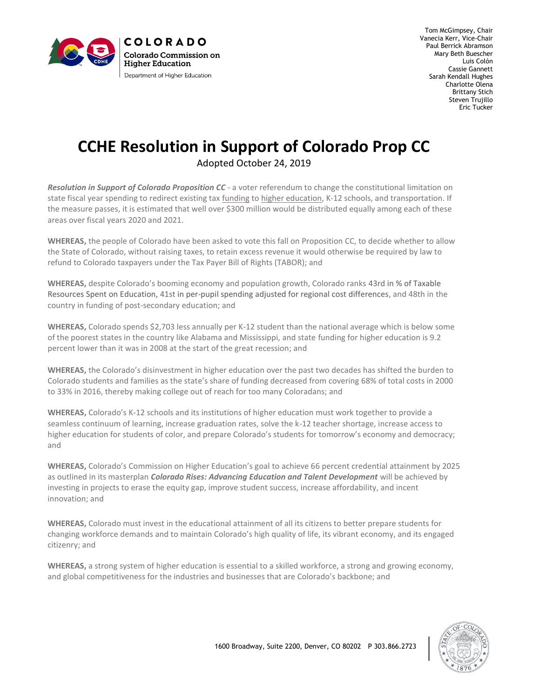

Tom McGimpsey, Chair Vanecia Kerr, Vice-Chair Paul Berrick Abramson Mary Beth Buescher Luis Colón Cassie Gannett Sarah Kendall Hughes Charlotte Olena Brittany Stich Steven Trujillo Eric Tucker

# **CCHE Resolution in Support of Colorado Prop CC**

Adopted October 24, 2019

*Resolution in Support of Colorado Proposition CC* - a voter referendum to change the constitutional limitation on state fiscal year spending to redirect existing tax [funding](https://www.msudenver.edu/trustees/prop-cc/) to [higher education,](https://www.msudenver.edu/trustees/prop-cc/) K-12 schools, and transportation. If the measure passes, it is estimated that well over \$300 million would be distributed equally among each of these areas over fiscal years 2020 and 2021.

**WHEREAS,** the people of Colorado have been asked to vote this fall on Proposition CC, to decide whether to allow the State of Colorado, without raising taxes, to retain excess revenue it would otherwise be required by law to refund to Colorado taxpayers under the Tax Payer Bill of Rights (TABOR); and

**WHEREAS,** despite Colorado's booming economy and population growth, Colorado ranks 43rd in % of Taxable Resources Spent on Education, 41st in per-pupil spending adjusted for regional cost differences, and 48th in the country in funding of post-secondary education; and

**WHEREAS,** Colorado spends \$2,703 less annually per K-12 student than the national average which is below some of the poorest states in the country like Alabama and Mississippi, and state funding for higher education is 9.2 percent lower than it was in 2008 at the start of the great recession; and

**WHEREAS,** the Colorado's disinvestment in higher education over the past two decades has shifted the burden to Colorado students and families as the state's share of funding decreased from covering 68% of total costs in 2000 to 33% in 2016, thereby making college out of reach for too many Coloradans; and

**WHEREAS,** Colorado's K-12 schools and its institutions of higher education must work together to provide a seamless continuum of learning, increase graduation rates, solve the k-12 teacher shortage, increase access to higher education for students of color, and prepare Colorado's students for tomorrow's economy and democracy; and

**WHEREAS,** Colorado's Commission on Higher Education's goal to achieve 66 percent credential attainment by 2025 as outlined in its masterplan *Colorado Rises: Advancing Education and Talent Development* will be achieved by investing in projects to erase the equity gap, improve student success, increase affordability, and incent innovation; and

**WHEREAS,** Colorado must invest in the educational attainment of all its citizens to better prepare students for changing workforce demands and to maintain Colorado's high quality of life, its vibrant economy, and its engaged citizenry; and

**WHEREAS,** a strong system of higher education is essential to a skilled workforce, a strong and growing economy, and global competitiveness for the industries and businesses that are Colorado's backbone; and